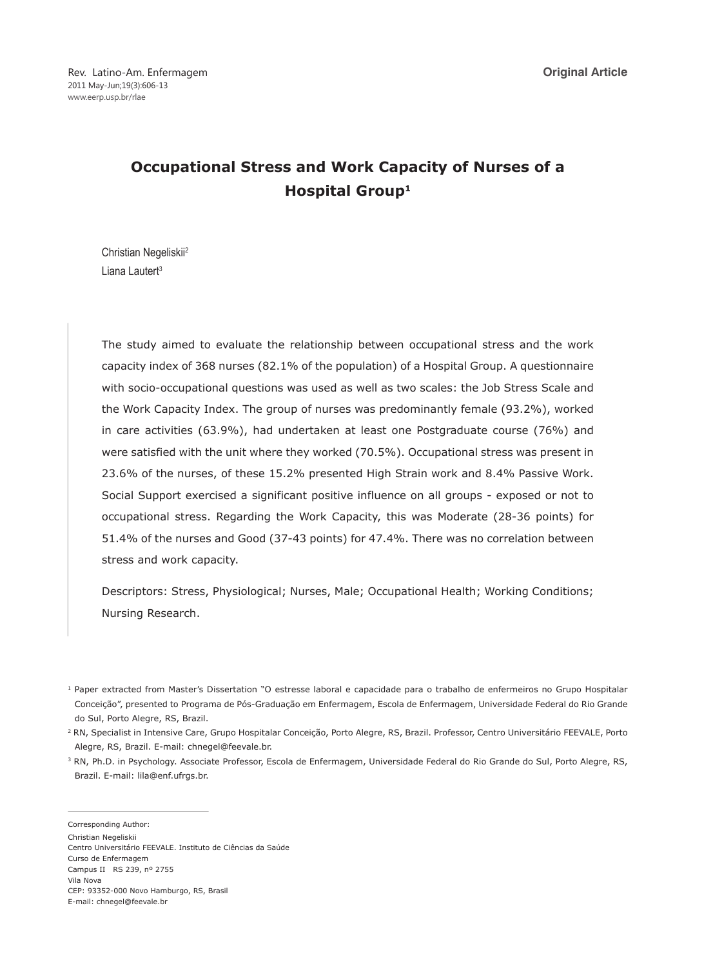# **Occupational Stress and Work Capacity of Nurses of a Hospital Group1**

Christian Negeliskii2 Liana Lautert<sup>3</sup>

The study aimed to evaluate the relationship between occupational stress and the work capacity index of 368 nurses (82.1% of the population) of a Hospital Group. A questionnaire with socio-occupational questions was used as well as two scales: the Job Stress Scale and the Work Capacity Index. The group of nurses was predominantly female (93.2%), worked in care activities (63.9%), had undertaken at least one Postgraduate course (76%) and were satisfied with the unit where they worked (70.5%). Occupational stress was present in 23.6% of the nurses, of these 15.2% presented High Strain work and 8.4% Passive Work. Social Support exercised a significant positive influence on all groups - exposed or not to occupational stress. Regarding the Work Capacity, this was Moderate (28-36 points) for 51.4% of the nurses and Good (37-43 points) for 47.4%. There was no correlation between stress and work capacity.

Descriptors: Stress, Physiological; Nurses, Male; Occupational Health; Working Conditions; Nursing Research.

<sup>2</sup> RN, Specialist in Intensive Care, Grupo Hospitalar Conceição, Porto Alegre, RS, Brazil. Professor, Centro Universitário FEEVALE, Porto Alegre, RS, Brazil. E-mail: chnegel@feevale.br.

<sup>3</sup> RN, Ph.D. in Psychology. Associate Professor, Escola de Enfermagem, Universidade Federal do Rio Grande do Sul, Porto Alegre, RS, Brazil. E-mail: lila@enf.ufrgs.br.

Corresponding Author: Christian Negeliskii Centro Universitário FEEVALE. Instituto de Ciências da Saúde Curso de Enfermagem Campus II RS 239, nº 2755 Vila Nova CEP: 93352-000 Novo Hamburgo, RS, Brasil E-mail: chnegel@feevale.br

<sup>1</sup> Paper extracted from Master's Dissertation "O estresse laboral e capacidade para o trabalho de enfermeiros no Grupo Hospitalar Conceição", presented to Programa de Pós-Graduação em Enfermagem, Escola de Enfermagem, Universidade Federal do Rio Grande do Sul, Porto Alegre, RS, Brazil.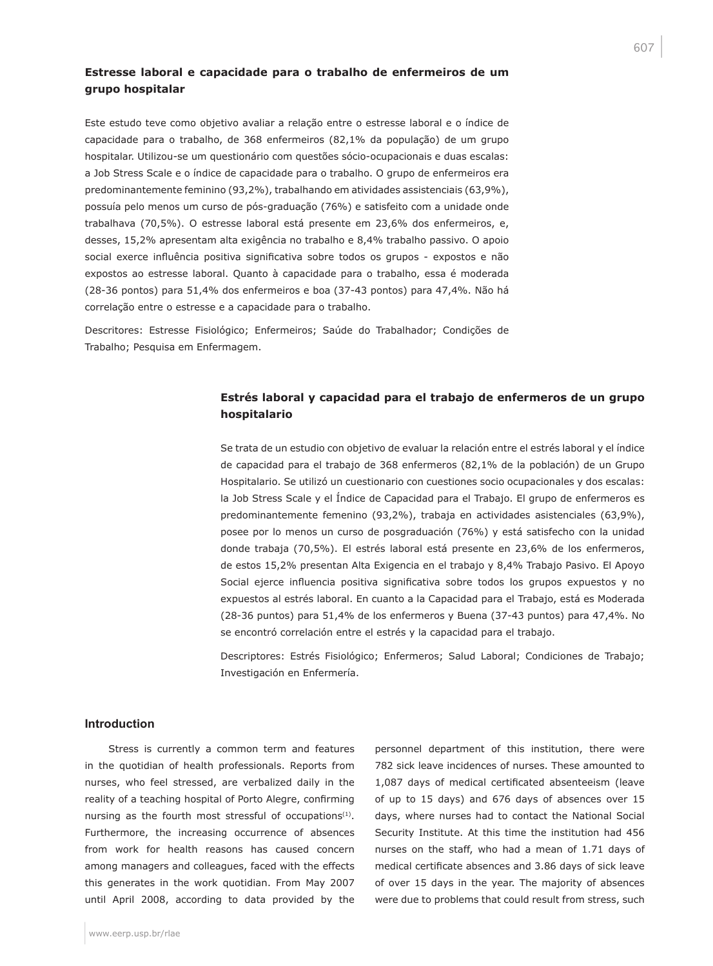## **Estresse laboral e capacidade para o trabalho de enfermeiros de um grupo hospitalar**

Este estudo teve como objetivo avaliar a relação entre o estresse laboral e o índice de capacidade para o trabalho, de 368 enfermeiros (82,1% da população) de um grupo hospitalar. Utilizou-se um questionário com questões sócio-ocupacionais e duas escalas: a Job Stress Scale e o índice de capacidade para o trabalho. O grupo de enfermeiros era predominantemente feminino (93,2%), trabalhando em atividades assistenciais (63,9%), possuía pelo menos um curso de pós-graduação (76%) e satisfeito com a unidade onde trabalhava (70,5%). O estresse laboral está presente em 23,6% dos enfermeiros, e, desses, 15,2% apresentam alta exigência no trabalho e 8,4% trabalho passivo. O apoio social exerce influência positiva significativa sobre todos os grupos - expostos e não expostos ao estresse laboral. Quanto à capacidade para o trabalho, essa é moderada (28-36 pontos) para 51,4% dos enfermeiros e boa (37-43 pontos) para 47,4%. Não há correlação entre o estresse e a capacidade para o trabalho.

Descritores: Estresse Fisiológico; Enfermeiros; Saúde do Trabalhador; Condições de Trabalho; Pesquisa em Enfermagem.

## **Estrés laboral y capacidad para el trabajo de enfermeros de un grupo hospitalario**

Se trata de un estudio con objetivo de evaluar la relación entre el estrés laboral y el índice de capacidad para el trabajo de 368 enfermeros (82,1% de la población) de un Grupo Hospitalario. Se utilizó un cuestionario con cuestiones socio ocupacionales y dos escalas: la Job Stress Scale y el Índice de Capacidad para el Trabajo. El grupo de enfermeros es predominantemente femenino (93,2%), trabaja en actividades asistenciales (63,9%), posee por lo menos un curso de posgraduación (76%) y está satisfecho con la unidad donde trabaja (70,5%). El estrés laboral está presente en 23,6% de los enfermeros, de estos 15,2% presentan Alta Exigencia en el trabajo y 8,4% Trabajo Pasivo. El Apoyo Social ejerce influencia positiva significativa sobre todos los grupos expuestos y no expuestos al estrés laboral. En cuanto a la Capacidad para el Trabajo, está es Moderada (28-36 puntos) para 51,4% de los enfermeros y Buena (37-43 puntos) para 47,4%. No se encontró correlación entre el estrés y la capacidad para el trabajo.

Descriptores: Estrés Fisiológico; Enfermeros; Salud Laboral; Condiciones de Trabajo; Investigación en Enfermería.

#### **Introduction**

Stress is currently a common term and features in the quotidian of health professionals. Reports from nurses, who feel stressed, are verbalized daily in the reality of a teaching hospital of Porto Alegre, confirming nursing as the fourth most stressful of occupations<sup>(1)</sup>. Furthermore, the increasing occurrence of absences from work for health reasons has caused concern among managers and colleagues, faced with the effects this generates in the work quotidian. From May 2007 until April 2008, according to data provided by the

personnel department of this institution, there were 782 sick leave incidences of nurses. These amounted to 1,087 days of medical certificated absenteeism (leave of up to 15 days) and 676 days of absences over 15 days, where nurses had to contact the National Social Security Institute. At this time the institution had 456 nurses on the staff, who had a mean of 1.71 days of medical certificate absences and 3.86 days of sick leave of over 15 days in the year. The majority of absences were due to problems that could result from stress, such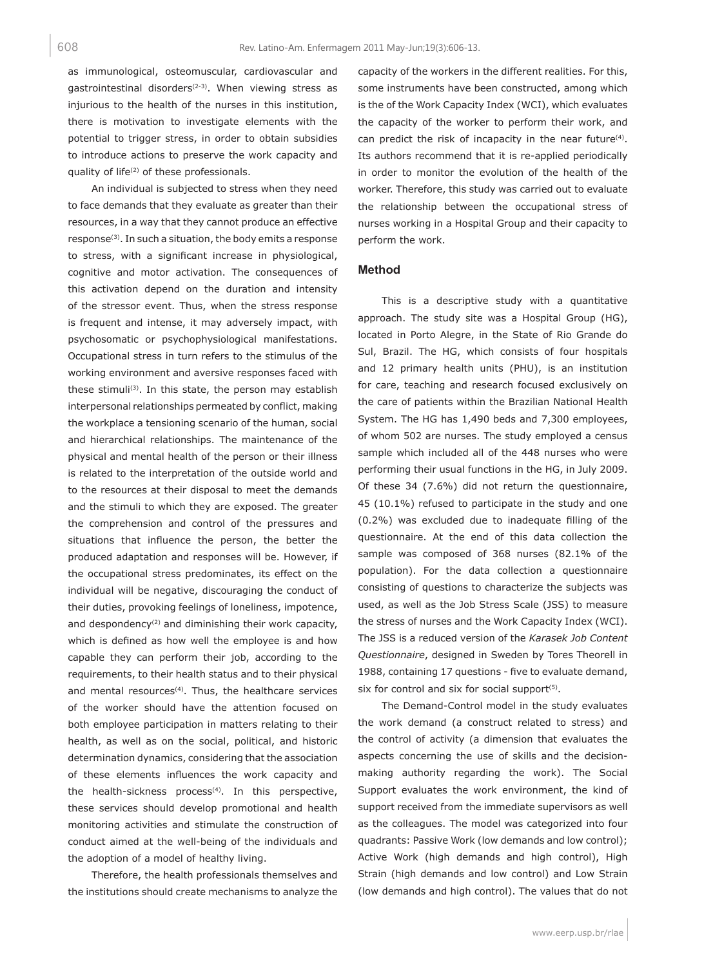as immunological, osteomuscular, cardiovascular and gastrointestinal disorders<sup> $(2-3)$ </sup>. When viewing stress as injurious to the health of the nurses in this institution, there is motivation to investigate elements with the potential to trigger stress, in order to obtain subsidies to introduce actions to preserve the work capacity and quality of life<sup>(2)</sup> of these professionals.

An individual is subjected to stress when they need to face demands that they evaluate as greater than their resources, in a way that they cannot produce an effective response(3). In such a situation, the body emits a response to stress, with a significant increase in physiological, cognitive and motor activation. The consequences of this activation depend on the duration and intensity of the stressor event. Thus, when the stress response is frequent and intense, it may adversely impact, with psychosomatic or psychophysiological manifestations. Occupational stress in turn refers to the stimulus of the working environment and aversive responses faced with these stimuli(3). In this state, the person may establish interpersonal relationships permeated by conflict, making the workplace a tensioning scenario of the human, social and hierarchical relationships. The maintenance of the physical and mental health of the person or their illness is related to the interpretation of the outside world and to the resources at their disposal to meet the demands and the stimuli to which they are exposed. The greater the comprehension and control of the pressures and situations that influence the person, the better the produced adaptation and responses will be. However, if the occupational stress predominates, its effect on the individual will be negative, discouraging the conduct of their duties, provoking feelings of loneliness, impotence, and despondency<sup>(2)</sup> and diminishing their work capacity, which is defined as how well the employee is and how capable they can perform their job, according to the requirements, to their health status and to their physical and mental resources<sup>(4)</sup>. Thus, the healthcare services of the worker should have the attention focused on both employee participation in matters relating to their health, as well as on the social, political, and historic determination dynamics, considering that the association of these elements influences the work capacity and the health-sickness process<sup>(4)</sup>. In this perspective, these services should develop promotional and health monitoring activities and stimulate the construction of conduct aimed at the well-being of the individuals and the adoption of a model of healthy living.

Therefore, the health professionals themselves and the institutions should create mechanisms to analyze the capacity of the workers in the different realities. For this, some instruments have been constructed, among which is the of the Work Capacity Index (WCI), which evaluates the capacity of the worker to perform their work, and can predict the risk of incapacity in the near future<sup>(4)</sup>. Its authors recommend that it is re-applied periodically in order to monitor the evolution of the health of the worker. Therefore, this study was carried out to evaluate the relationship between the occupational stress of nurses working in a Hospital Group and their capacity to perform the work.

#### **Method**

This is a descriptive study with a quantitative approach. The study site was a Hospital Group (HG), located in Porto Alegre, in the State of Rio Grande do Sul, Brazil. The HG, which consists of four hospitals and 12 primary health units (PHU), is an institution for care, teaching and research focused exclusively on the care of patients within the Brazilian National Health System. The HG has 1,490 beds and 7,300 employees, of whom 502 are nurses. The study employed a census sample which included all of the 448 nurses who were performing their usual functions in the HG, in July 2009. Of these 34 (7.6%) did not return the questionnaire, 45 (10.1%) refused to participate in the study and one (0.2%) was excluded due to inadequate filling of the questionnaire. At the end of this data collection the sample was composed of 368 nurses (82.1% of the population). For the data collection a questionnaire consisting of questions to characterize the subjects was used, as well as the Job Stress Scale (JSS) to measure the stress of nurses and the Work Capacity Index (WCI). The JSS is a reduced version of the *Karasek Job Content Questionnaire*, designed in Sweden by Tores Theorell in 1988, containing 17 questions - five to evaluate demand, six for control and six for social support $(5)$ .

The Demand-Control model in the study evaluates the work demand (a construct related to stress) and the control of activity (a dimension that evaluates the aspects concerning the use of skills and the decisionmaking authority regarding the work). The Social Support evaluates the work environment, the kind of support received from the immediate supervisors as well as the colleagues. The model was categorized into four quadrants: Passive Work (low demands and low control); Active Work (high demands and high control), High Strain (high demands and low control) and Low Strain (low demands and high control). The values that do not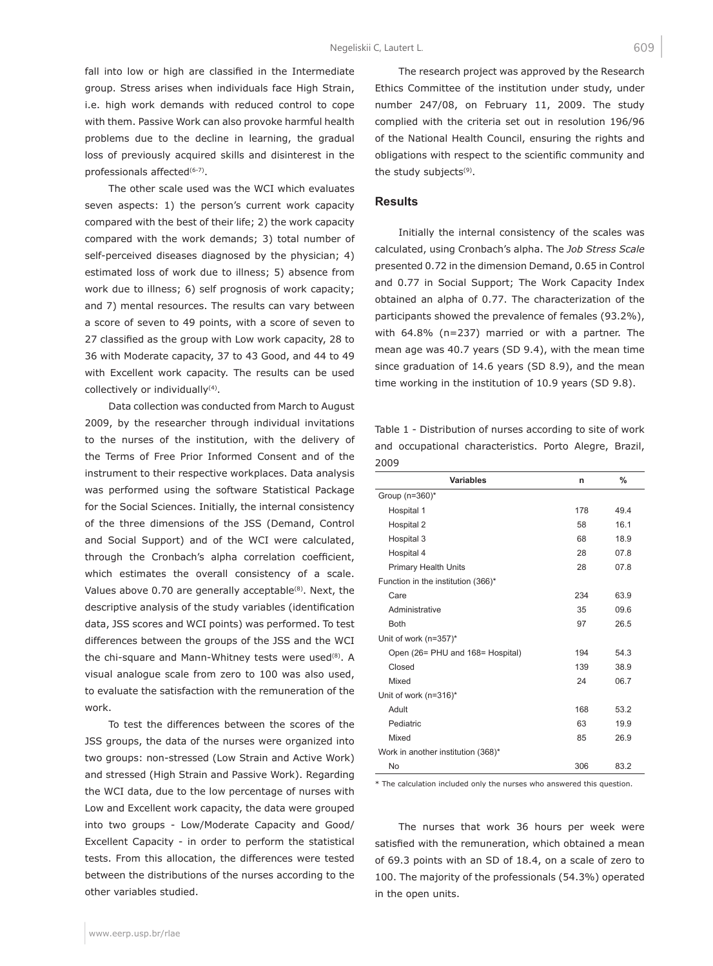fall into low or high are classified in the Intermediate group. Stress arises when individuals face High Strain, i.e. high work demands with reduced control to cope with them. Passive Work can also provoke harmful health problems due to the decline in learning, the gradual loss of previously acquired skills and disinterest in the professionals affected<sup>(6-7)</sup>.

The other scale used was the WCI which evaluates seven aspects: 1) the person's current work capacity compared with the best of their life; 2) the work capacity compared with the work demands; 3) total number of self-perceived diseases diagnosed by the physician; 4) estimated loss of work due to illness; 5) absence from work due to illness; 6) self prognosis of work capacity; and 7) mental resources. The results can vary between a score of seven to 49 points, with a score of seven to 27 classified as the group with Low work capacity, 28 to 36 with Moderate capacity, 37 to 43 Good, and 44 to 49 with Excellent work capacity. The results can be used collectively or individually<sup>(4)</sup>.

Data collection was conducted from March to August 2009, by the researcher through individual invitations to the nurses of the institution, with the delivery of the Terms of Free Prior Informed Consent and of the instrument to their respective workplaces. Data analysis was performed using the software Statistical Package for the Social Sciences. Initially, the internal consistency of the three dimensions of the JSS (Demand, Control and Social Support) and of the WCI were calculated, through the Cronbach's alpha correlation coefficient, which estimates the overall consistency of a scale. Values above 0.70 are generally acceptable<sup>(8)</sup>. Next, the descriptive analysis of the study variables (identification data, JSS scores and WCI points) was performed. To test differences between the groups of the JSS and the WCI the chi-square and Mann-Whitney tests were used<sup>(8)</sup>. A visual analogue scale from zero to 100 was also used, to evaluate the satisfaction with the remuneration of the work.

To test the differences between the scores of the JSS groups, the data of the nurses were organized into two groups: non-stressed (Low Strain and Active Work) and stressed (High Strain and Passive Work). Regarding the WCI data, due to the low percentage of nurses with Low and Excellent work capacity, the data were grouped into two groups - Low/Moderate Capacity and Good/ Excellent Capacity - in order to perform the statistical tests. From this allocation, the differences were tested between the distributions of the nurses according to the other variables studied.

The research project was approved by the Research Ethics Committee of the institution under study, under number 247/08, on February 11, 2009. The study complied with the criteria set out in resolution 196/96 of the National Health Council, ensuring the rights and obligations with respect to the scientific community and the study subjects<sup>(9)</sup>.

#### **Results**

Initially the internal consistency of the scales was calculated, using Cronbach's alpha. The *Job Stress Scale* presented 0.72 in the dimension Demand, 0.65 in Control and 0.77 in Social Support; The Work Capacity Index obtained an alpha of 0.77. The characterization of the participants showed the prevalence of females (93.2%), with 64.8% (n=237) married or with a partner. The mean age was 40.7 years (SD 9.4), with the mean time since graduation of 14.6 years (SD 8.9), and the mean time working in the institution of 10.9 years (SD 9.8).

Table 1 - Distribution of nurses according to site of work and occupational characteristics. Porto Alegre, Brazil, 2009

| <b>Variables</b>                   | n   | $\frac{9}{6}$   |
|------------------------------------|-----|-----------------|
| Group (n=360)*                     |     |                 |
| Hospital 1                         | 178 | 49.4            |
| Hospital 2                         | 58  | 16 <sub>1</sub> |
| Hospital 3                         | 68  | 18.9            |
| Hospital 4                         | 28  | 07.8            |
| <b>Primary Health Units</b>        | 28  | 07.8            |
| Function in the institution (366)* |     |                 |
| Care                               | 234 | 63.9            |
| Administrative                     | 35  | 09.6            |
| <b>Both</b>                        | 97  | 26.5            |
| Unit of work (n=357)*              |     |                 |
| Open (26= PHU and 168= Hospital)   | 194 | 54.3            |
| Closed                             | 139 | 38.9            |
| Mixed                              | 24  | 06.7            |
| Unit of work (n=316)*              |     |                 |
| Adult                              | 168 | 53.2            |
| Pediatric                          | 63  | 19.9            |
| Mixed                              | 85  | 26.9            |
| Work in another institution (368)* |     |                 |
| <b>No</b>                          | 306 | 83.2            |

\* The calculation included only the nurses who answered this question.

The nurses that work 36 hours per week were satisfied with the remuneration, which obtained a mean of 69.3 points with an SD of 18.4, on a scale of zero to 100. The majority of the professionals (54.3%) operated in the open units.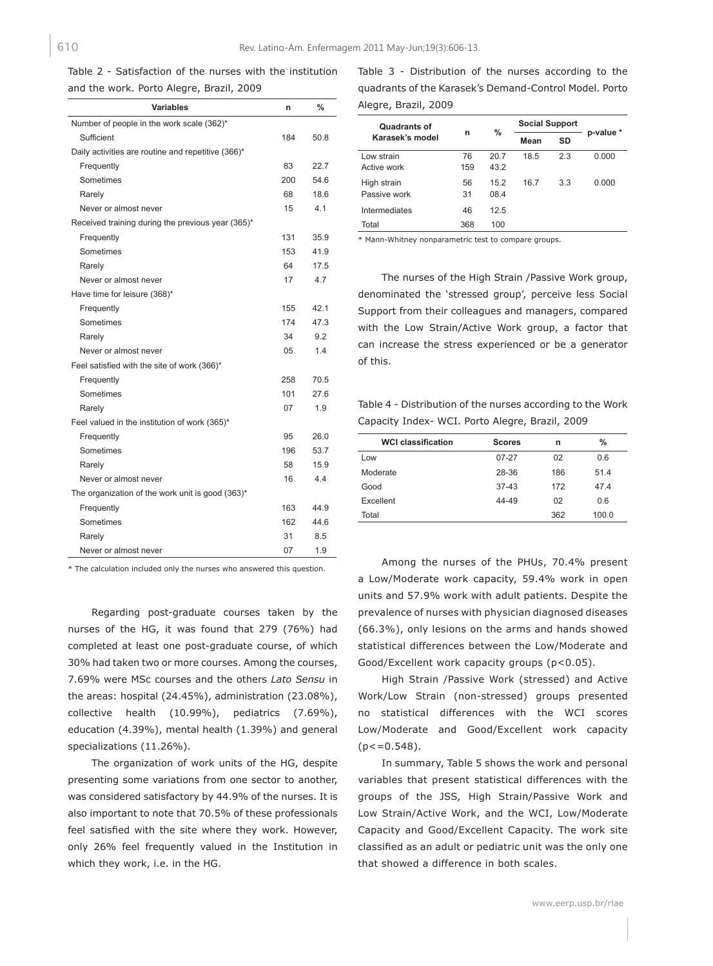Table 2 - Satisfaction of the nurses with the institution and the work. Porto Alegre, Brazil, 2009

| Variables                                          | n   | $\frac{0}{0}$ |
|----------------------------------------------------|-----|---------------|
| Number of people in the work scale (362)*          |     |               |
| Sufficient                                         | 184 | 50.8          |
| Daily activities are routine and repetitive (366)* |     |               |
| Frequently                                         | 83  | 22.7          |
| Sometimes                                          | 200 | 54.6          |
| Rarely                                             | 68  | 18.6          |
| Never or almost never                              | 15  | 4.1           |
| Received training during the previous year (365)*  |     |               |
| Frequently                                         | 131 | 35.9          |
| Sometimes                                          | 153 | 41.9          |
| Rarely                                             | 64  | 17.5          |
| Never or almost never                              | 17  | 4.7           |
| Have time for leisure (368)*                       |     |               |
| Frequently                                         | 155 | 42.1          |
| Sometimes                                          | 174 | 473           |
| Rarely                                             | 34  | 9.2           |
| Never or almost never                              | 05  | 1.4           |
| Feel satisfied with the site of work (366)*        |     |               |
| Frequently                                         | 258 | 70.5          |
| Sometimes                                          | 101 | 27.6          |
| Rarely                                             | 07  | 1.9           |
| Feel valued in the institution of work (365)*      |     |               |
| Frequently                                         | 95  | 26.0          |
| Sometimes                                          | 196 | 53.7          |
| Rarely                                             | 58  | 15.9          |
| Never or almost never                              | 16  | 4.4           |
| The organization of the work unit is good (363)*   |     |               |
| Frequently                                         | 163 | 44.9          |
| Sometimes                                          | 162 | 44.6          |
| Rarely                                             | 31  | 8.5           |
| Never or almost never                              | 07  | 1.9           |

\* The calculation included only the nurses who answered this question.

Regarding post-graduate courses taken by the nurses of the HG, it was found that 279 (76%) had completed at least one post-graduate course, of which 30% had taken two or more courses. Among the courses, 7.69% were MSc courses and the others *Lato Sensu* in the areas: hospital (24.45%), administration (23.08%), collective health (10.99%), pediatrics (7.69%), education (4.39%), mental health (1.39%) and general specializations (11.26%).

The organization of work units of the HG, despite presenting some variations from one sector to another, was considered satisfactory by 44.9% of the nurses. It is also important to note that 70.5% of these professionals feel satisfied with the site where they work. However, only 26% feel frequently valued in the Institution in which they work, i.e. in the HG.

Table 3 - Distribution of the nurses according to the quadrants of the Karasek's Demand-Control Model. Porto Alegre, Brazil, 2009

| Quadrants of<br>Karasek's model | n         | $\%$         | <b>Social Support</b> |     |           |
|---------------------------------|-----------|--------------|-----------------------|-----|-----------|
|                                 |           |              | Mean                  | SD  | p-value * |
| Low strain<br>Active work       | 76<br>159 | 20.7<br>43.2 | 18.5                  | 2.3 | 0.000     |
| High strain<br>Passive work     | 56<br>31  | 152<br>08.4  | 16.7                  | 33  | 0.000     |
| Intermediates                   | 46        | 12.5         |                       |     |           |
| Total                           | 368       | 100          |                       |     |           |

\* Mann-Whitney nonparametric test to compare groups.

The nurses of the High Strain /Passive Work group, denominated the 'stressed group', perceive less Social Support from their colleagues and managers, compared with the Low Strain/Active Work group, a factor that can increase the stress experienced or be a generator of this.

Table 4 - Distribution of the nurses according to the Work Capacity Index- WCI. Porto Alegre, Brazil, 2009

| <b>WCI classification</b> | <b>Scores</b> | n   | %     |
|---------------------------|---------------|-----|-------|
| Low                       | $07 - 27$     | 02  | 0.6   |
| Moderate                  | 28-36         | 186 | 51.4  |
| Good                      | $37-43$       | 172 | 474   |
| Excellent                 | 44-49         | 02  | 0.6   |
| Total                     |               | 362 | 100.0 |

Among the nurses of the PHUs, 70.4% present a Low/Moderate work capacity, 59.4% work in open units and 57.9% work with adult patients. Despite the prevalence of nurses with physician diagnosed diseases (66.3%), only lesions on the arms and hands showed statistical differences between the Low/Moderate and Good/Excellent work capacity groups (p<0.05).

High Strain /Passive Work (stressed) and Active Work/Low Strain (non-stressed) groups presented no statistical differences with the WCI scores Low/Moderate and Good/Excellent work capacity  $(p < 0.548)$ .

In summary, Table 5 shows the work and personal variables that present statistical differences with the groups of the JSS*,* High Strain/Passive Work and Low Strain/Active Work, and the WCI, Low/Moderate Capacity and Good/Excellent Capacity. The work site classified as an adult or pediatric unit was the only one that showed a difference in both scales.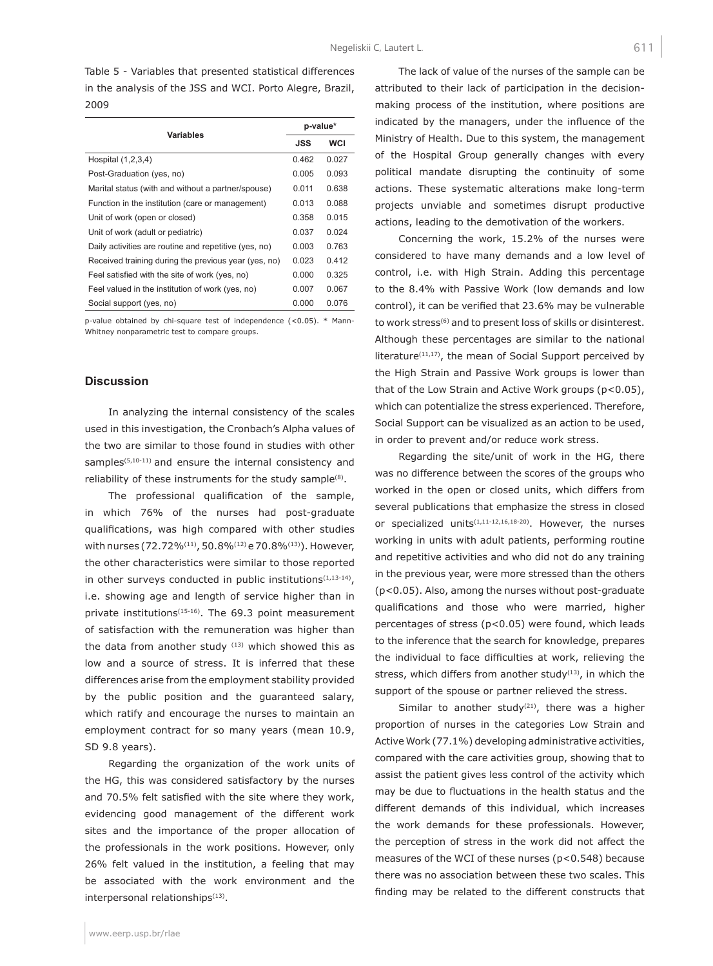Table 5 - Variables that presented statistical differences in the analysis of the JSS and WCI. Porto Alegre, Brazil, 2009

| <b>Variables</b>                                      |       | p-value*   |  |
|-------------------------------------------------------|-------|------------|--|
|                                                       |       | <b>WCI</b> |  |
| Hospital (1,2,3,4)                                    | 0.462 | 0.027      |  |
| Post-Graduation (yes, no)                             | 0.005 | 0.093      |  |
| Marital status (with and without a partner/spouse)    | 0.011 | 0.638      |  |
| Function in the institution (care or management)      | 0.013 | 0.088      |  |
| Unit of work (open or closed)                         | 0.358 | 0.015      |  |
| Unit of work (adult or pediatric)                     | 0.037 | 0.024      |  |
| Daily activities are routine and repetitive (yes, no) | 0.003 | 0.763      |  |
| Received training during the previous year (yes, no)  | 0.023 | 0.412      |  |
| Feel satisfied with the site of work (yes, no)        | 0.000 | 0.325      |  |
| Feel valued in the institution of work (yes, no)      | 0.007 | 0.067      |  |
| Social support (yes, no)                              | 0.000 | 0.076      |  |

p-value obtained by chi-square test of independence (<0.05). \* Mann-Whitney nonparametric test to compare groups.

### **Discussion**

In analyzing the internal consistency of the scales used in this investigation, the Cronbach's Alpha values of the two are similar to those found in studies with other samples<sup>(5,10-11)</sup> and ensure the internal consistency and reliability of these instruments for the study sample<sup>(8)</sup>.

The professional qualification of the sample, in which 76% of the nurses had post-graduate qualifications, was high compared with other studies with nurses (72.72%<sup>(11)</sup>, 50.8%<sup>(12)</sup> e 70.8%<sup>(13)</sup>). However, the other characteristics were similar to those reported in other surveys conducted in public institutions $(1,13-14)$ , i.e. showing age and length of service higher than in private institutions<sup>(15-16)</sup>. The 69.3 point measurement of satisfaction with the remuneration was higher than the data from another study  $(13)$  which showed this as low and a source of stress. It is inferred that these differences arise from the employment stability provided by the public position and the guaranteed salary, which ratify and encourage the nurses to maintain an employment contract for so many years (mean 10.9, SD 9.8 years).

Regarding the organization of the work units of the HG, this was considered satisfactory by the nurses and 70.5% felt satisfied with the site where they work, evidencing good management of the different work sites and the importance of the proper allocation of the professionals in the work positions. However, only 26% felt valued in the institution, a feeling that may be associated with the work environment and the interpersonal relationships<sup>(13)</sup>.

The lack of value of the nurses of the sample can be attributed to their lack of participation in the decisionmaking process of the institution, where positions are indicated by the managers, under the influence of the Ministry of Health. Due to this system, the management of the Hospital Group generally changes with every political mandate disrupting the continuity of some actions. These systematic alterations make long-term projects unviable and sometimes disrupt productive actions, leading to the demotivation of the workers.

Concerning the work, 15.2% of the nurses were considered to have many demands and a low level of control, i.e. with High Strain. Adding this percentage to the 8.4% with Passive Work (low demands and low control), it can be verified that 23.6% may be vulnerable to work stress(6) and to present loss of skills or disinterest. Although these percentages are similar to the national literature $(11,17)$ , the mean of Social Support perceived by the High Strain and Passive Work groups is lower than that of the Low Strain and Active Work groups (p<0.05), which can potentialize the stress experienced. Therefore, Social Support can be visualized as an action to be used, in order to prevent and/or reduce work stress.

Regarding the site/unit of work in the HG, there was no difference between the scores of the groups who worked in the open or closed units, which differs from several publications that emphasize the stress in closed or specialized units<sup>(1,11-12,16,18-20)</sup>. However, the nurses working in units with adult patients, performing routine and repetitive activities and who did not do any training in the previous year, were more stressed than the others (p<0.05). Also, among the nurses without post-graduate qualifications and those who were married, higher percentages of stress (p<0.05) were found, which leads to the inference that the search for knowledge, prepares the individual to face difficulties at work, relieving the stress, which differs from another study $(13)$ , in which the support of the spouse or partner relieved the stress.

Similar to another study<sup>(21)</sup>, there was a higher proportion of nurses in the categories Low Strain and Active Work (77.1%) developing administrative activities, compared with the care activities group, showing that to assist the patient gives less control of the activity which may be due to fluctuations in the health status and the different demands of this individual, which increases the work demands for these professionals. However, the perception of stress in the work did not affect the measures of the WCI of these nurses (p<0.548) because there was no association between these two scales. This finding may be related to the different constructs that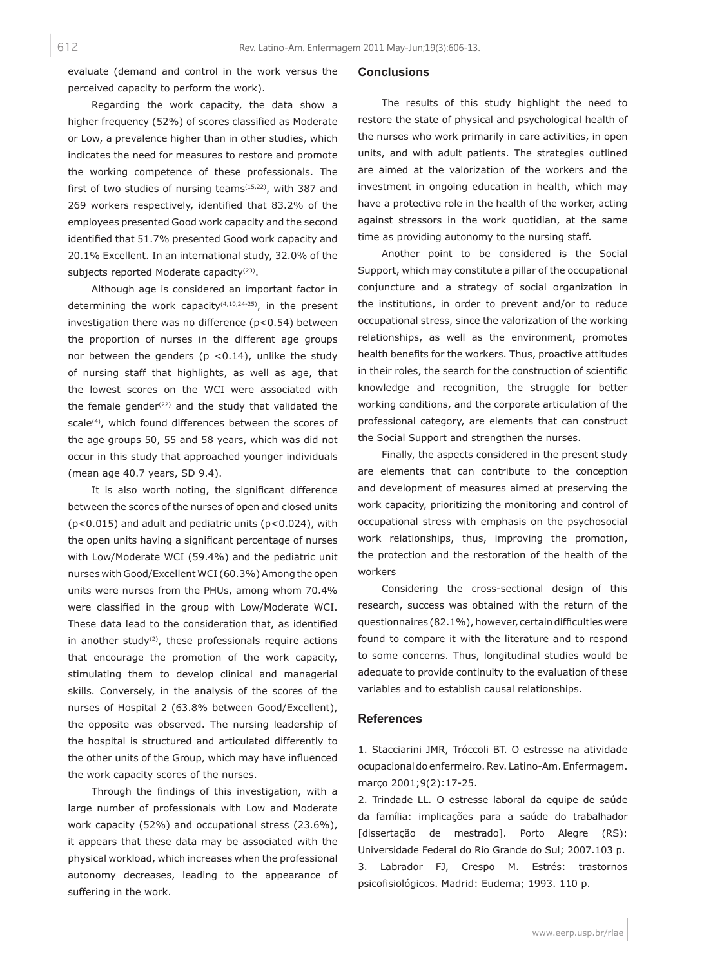evaluate (demand and control in the work versus the perceived capacity to perform the work).

Regarding the work capacity, the data show a higher frequency (52%) of scores classified as Moderate or Low, a prevalence higher than in other studies, which indicates the need for measures to restore and promote the working competence of these professionals. The first of two studies of nursing teams $(15,22)$ , with 387 and 269 workers respectively, identified that 83.2% of the employees presented Good work capacity and the second identified that 51.7% presented Good work capacity and 20.1% Excellent. In an international study, 32.0% of the subjects reported Moderate capacity<sup>(23)</sup>.

Although age is considered an important factor in determining the work capacity<sup>(4,10,24-25)</sup>, in the present investigation there was no difference (p<0.54) between the proportion of nurses in the different age groups nor between the genders ( $p$  <0.14), unlike the study of nursing staff that highlights, as well as age, that the lowest scores on the WCI were associated with the female gender<sup>(22)</sup> and the study that validated the scale<sup>(4)</sup>, which found differences between the scores of the age groups 50, 55 and 58 years, which was did not occur in this study that approached younger individuals (mean age 40.7 years, SD 9.4).

It is also worth noting, the significant difference between the scores of the nurses of open and closed units (p<0.015) and adult and pediatric units (p<0.024), with the open units having a significant percentage of nurses with Low/Moderate WCI (59.4%) and the pediatric unit nurses with Good/Excellent WCI (60.3%) Among the open units were nurses from the PHUs, among whom 70.4% were classified in the group with Low/Moderate WCI. These data lead to the consideration that, as identified in another study<sup>(2)</sup>, these professionals require actions that encourage the promotion of the work capacity, stimulating them to develop clinical and managerial skills. Conversely, in the analysis of the scores of the nurses of Hospital 2 (63.8% between Good/Excellent), the opposite was observed. The nursing leadership of the hospital is structured and articulated differently to the other units of the Group, which may have influenced the work capacity scores of the nurses.

Through the findings of this investigation, with a large number of professionals with Low and Moderate work capacity (52%) and occupational stress (23.6%), it appears that these data may be associated with the physical workload, which increases when the professional autonomy decreases, leading to the appearance of suffering in the work.

#### **Conclusions**

The results of this study highlight the need to restore the state of physical and psychological health of the nurses who work primarily in care activities, in open units, and with adult patients. The strategies outlined are aimed at the valorization of the workers and the investment in ongoing education in health, which may have a protective role in the health of the worker, acting against stressors in the work quotidian, at the same time as providing autonomy to the nursing staff.

Another point to be considered is the Social Support, which may constitute a pillar of the occupational conjuncture and a strategy of social organization in the institutions, in order to prevent and/or to reduce occupational stress, since the valorization of the working relationships, as well as the environment, promotes health benefits for the workers. Thus, proactive attitudes in their roles, the search for the construction of scientific knowledge and recognition, the struggle for better working conditions, and the corporate articulation of the professional category, are elements that can construct the Social Support and strengthen the nurses.

Finally, the aspects considered in the present study are elements that can contribute to the conception and development of measures aimed at preserving the work capacity, prioritizing the monitoring and control of occupational stress with emphasis on the psychosocial work relationships, thus, improving the promotion, the protection and the restoration of the health of the workers

Considering the cross-sectional design of this research, success was obtained with the return of the questionnaires (82.1%), however, certain difficulties were found to compare it with the literature and to respond to some concerns. Thus, longitudinal studies would be adequate to provide continuity to the evaluation of these variables and to establish causal relationships.

#### **References**

1. Stacciarini JMR, Tróccoli BT. O estresse na atividade ocupacional do enfermeiro. Rev. Latino-Am. Enfermagem. março 2001;9(2):17-25.

2. Trindade LL. O estresse laboral da equipe de saúde da família: implicações para a saúde do trabalhador [dissertação de mestrado]. Porto Alegre (RS): Universidade Federal do Rio Grande do Sul; 2007.103 p. 3. Labrador FJ, Crespo M. Estrés: trastornos psicofisiológicos. Madrid: Eudema; 1993. 110 p.